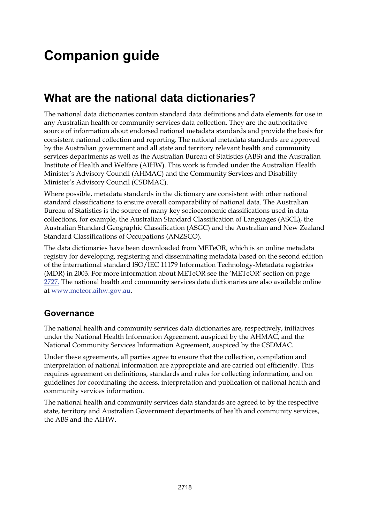# **Companion guide**

## **What are the national data dictionaries?**

The national data dictionaries contain standard data definitions and data elements for use in any Australian health or community services data collection. They are the authoritative source of information about endorsed national metadata standards and provide the basis for consistent national collection and reporting. The national metadata standards are approved by the Australian government and all state and territory relevant health and community services departments as well as the Australian Bureau of Statistics (ABS) and the Australian Institute of Health and Welfare (AIHW). This work is funded under the Australian Health Minister's Advisory Council (AHMAC) and the Community Services and Disability Minister's Advisory Council (CSDMAC).

Where possible, metadata standards in the dictionary are consistent with other national standard classifications to ensure overall comparability of national data. The Australian Bureau of Statistics is the source of many key socioeconomic classifications used in data collections, for example, the Australian Standard Classification of Languages (ASCL), the Australian Standard Geographic Classification (ASGC) and the Australian and New Zealand Standard Classifications of Occupations (ANZSCO).

The data dictionaries have been downloaded from METeOR, which is an online metadata registry for developing, registering and disseminating metadata based on the second edition of the international standard ISO/IEC 11179 Information Technology-Metadata registries (MDR) in 2003. For more information about METeOR see the 'METeOR' section on page [2727.](#page-9-0) The national health and community services data dictionaries are also available online at [www.meteor.aihw.gov.au](http://www.meteor.aihw.gov.au/).

## **Governance**

The national health and community services data dictionaries are, respectively, initiatives under the National Health Information Agreement, auspiced by the AHMAC, and the National Community Services Information Agreement, auspiced by the CSDMAC.

Under these agreements, all parties agree to ensure that the collection, compilation and interpretation of national information are appropriate and are carried out efficiently. This requires agreement on definitions, standards and rules for collecting information, and on guidelines for coordinating the access, interpretation and publication of national health and community services information.

The national health and community services data standards are agreed to by the respective state, territory and Australian Government departments of health and community services, the ABS and the AIHW.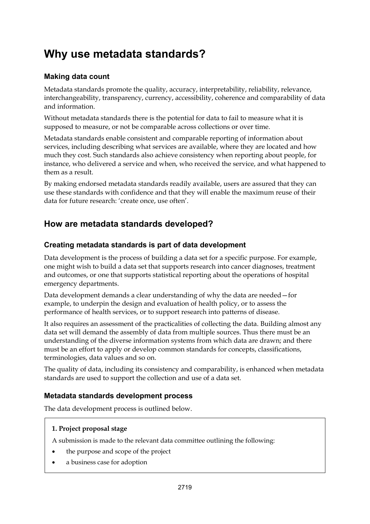## **Why use metadata standards?**

#### **Making data count**

Metadata standards promote the quality, accuracy, interpretability, reliability, relevance, interchangeability, transparency, currency, accessibility, coherence and comparability of data and information.

Without metadata standards there is the potential for data to fail to measure what it is supposed to measure, or not be comparable across collections or over time.

Metadata standards enable consistent and comparable reporting of information about services, including describing what services are available, where they are located and how much they cost. Such standards also achieve consistency when reporting about people, for instance, who delivered a service and when, who received the service, and what happened to them as a result.

By making endorsed metadata standards readily available, users are assured that they can use these standards with confidence and that they will enable the maximum reuse of their data for future research: 'create once, use often'.

## **How are metadata standards developed?**

#### **Creating metadata standards is part of data development**

Data development is the process of building a data set for a specific purpose. For example, one might wish to build a data set that supports research into cancer diagnoses, treatment and outcomes, or one that supports statistical reporting about the operations of hospital emergency departments.

Data development demands a clear understanding of why the data are needed—for example, to underpin the design and evaluation of health policy, or to assess the performance of health services, or to support research into patterns of disease.

It also requires an assessment of the practicalities of collecting the data. Building almost any data set will demand the assembly of data from multiple sources. Thus there must be an understanding of the diverse information systems from which data are drawn; and there must be an effort to apply or develop common standards for concepts, classifications, terminologies, data values and so on.

The quality of data, including its consistency and comparability, is enhanced when metadata standards are used to support the collection and use of a data set.

#### **Metadata standards development process**

The data development process is outlined below.

#### **1. Project proposal stage**

A submission is made to the relevant data committee outlining the following:

- the purpose and scope of the project
- a business case for adoption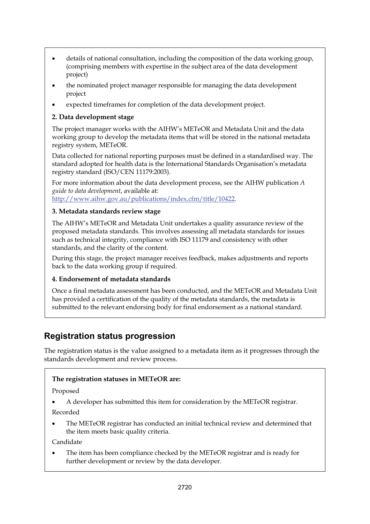- details of national consultation, including the composition of the data working group, (comprising members with expertise in the subject area of the data development project)
- the nominated project manager responsible for managing the data development project
- expected timeframes for completion of the data development project.

#### **2. Data development stage**

The project manager works with the AIHW's METeOR and Metadata Unit and the data working group to develop the metadata items that will be stored in the national metadata registry system, METeOR.

Data collected for national reporting purposes must be defined in a standardised way. The standard adopted for health data is the International Standards Organisation's metadata registry standard (ISO/CEN 11179:2003).

For more information about the data development process, see the AIHW publication *A guide to data development*, available at: [http://www.aihw.gov.au/publications/index.cfm/title/10422.](http://www.aihw.gov.au/publications/index.cfm/title/10422)

#### **3. Metadata standards review stage**

The AIHW's METeOR and Metadata Unit undertakes a quality assurance review of the proposed metadata standards. This involves assessing all metadata standards for issues such as technical integrity, compliance with ISO 11179 and consistency with other standards, and the clarity of the content.

During this stage, the project manager receives feedback, makes adjustments and reports back to the data working group if required.

#### **4. Endorsement of metadata standards**

Once a final metadata assessment has been conducted, and the METeOR and Metadata Unit has provided a certification of the quality of the metadata standards, the metadata is submitted to the relevant endorsing body for final endorsement as a national standard.

### **Registration status progression**

The registration status is the value assigned to a metadata item as it progresses through the standards development and review process.

#### **The registration statuses in METeOR are:**

Proposed

A developer has submitted this item for consideration by the METeOR registrar.

Recorded

 The METeOR registrar has conducted an initial technical review and determined that the item meets basic quality criteria.

Candidate

 The item has been compliance checked by the METeOR registrar and is ready for further development or review by the data developer.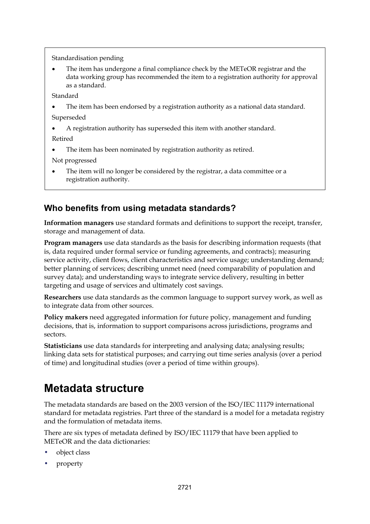Standardisation pending

 The item has undergone a final compliance check by the METeOR registrar and the data working group has recommended the item to a registration authority for approval as a standard.

Standard

The item has been endorsed by a registration authority as a national data standard.

Superseded

A registration authority has superseded this item with another standard.

Retired

• The item has been nominated by registration authority as retired.

Not progressed

 The item will no longer be considered by the registrar, a data committee or a registration authority.

### **Who benefits from using metadata standards?**

**Information managers** use standard formats and definitions to support the receipt, transfer, storage and management of data.

**Program managers** use data standards as the basis for describing information requests (that is, data required under formal service or funding agreements, and contracts); measuring service activity, client flows, client characteristics and service usage; understanding demand; better planning of services; describing unmet need (need comparability of population and survey data); and understanding ways to integrate service delivery, resulting in better targeting and usage of services and ultimately cost savings.

**Researchers** use data standards as the common language to support survey work, as well as to integrate data from other sources.

**Policy makers** need aggregated information for future policy, management and funding decisions, that is, information to support comparisons across jurisdictions, programs and sectors.

**Statisticians** use data standards for interpreting and analysing data; analysing results; linking data sets for statistical purposes; and carrying out time series analysis (over a period of time) and longitudinal studies (over a period of time within groups).

## **Metadata structure**

The metadata standards are based on the 2003 version of the ISO/IEC 11179 international standard for metadata registries. Part three of the standard is a model for a metadata registry and the formulation of metadata items.

There are six types of metadata defined by ISO/IEC 11179 that have been applied to METeOR and the data dictionaries:

- object class
- property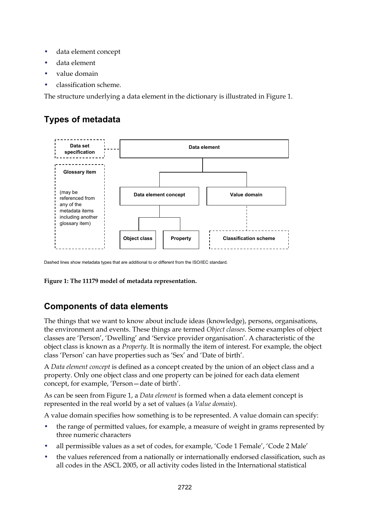- data element concept
- data element
- value domain
- classification scheme.

The structure underlying a data element in the dictionary is illustrated in Figure 1.

## **Types of metadata**



Dashed lines show metadata types that are additional to or different from the ISO/IEC standard.

**Figure 1: The 11179 model of metadata representation.** 

## **Components of data elements**

The things that we want to know about include ideas (knowledge), persons, organisations, the environment and events. These things are termed *Object classes*. Some examples of object classes are 'Person', 'Dwelling' and 'Service provider organisation'. A characteristic of the object class is known as a *Property*. It is normally the item of interest. For example, the object class 'Person' can have properties such as 'Sex' and 'Date of birth'.

A *Data element concept* is defined as a concept created by the union of an object class and a property. Only one object class and one property can be joined for each data element concept, for example, 'Person—date of birth'.

As can be seen from Figure 1, a *Data element* is formed when a data element concept is represented in the real world by a set of values (a *Value domain*).

A value domain specifies how something is to be represented. A value domain can specify:

- the range of permitted values, for example, a measure of weight in grams represented by three numeric characters
- all permissible values as a set of codes, for example, 'Code 1 Female', 'Code 2 Male'
- the values referenced from a nationally or internationally endorsed classification, such as all codes in the ASCL 2005, or all activity codes listed in the International statistical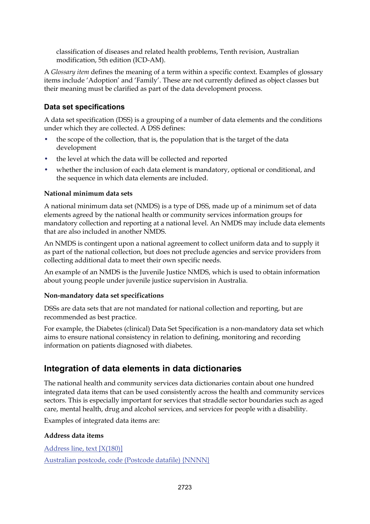classification of diseases and related health problems, Tenth revision, Australian modification, 5th edition (ICD-AM).

A *Glossary item* defines the meaning of a term within a specific context. Examples of glossary items include 'Adoption' and 'Family'. These are not currently defined as object classes but their meaning must be clarified as part of the data development process.

#### **Data set specifications**

A data set specification (DSS) is a grouping of a number of data elements and the conditions under which they are collected. A DSS defines:

- the scope of the collection, that is, the population that is the target of the data development
- the level at which the data will be collected and reported
- whether the inclusion of each data element is mandatory, optional or conditional, and the sequence in which data elements are included.

#### **National minimum data sets**

A national minimum data set (NMDS) is a type of DSS, made up of a minimum set of data elements agreed by the national health or community services information groups for mandatory collection and reporting at a national level. An NMDS may include data elements that are also included in another NMDS.

An NMDS is contingent upon a national agreement to collect uniform data and to supply it as part of the national collection, but does not preclude agencies and service providers from collecting additional data to meet their own specific needs.

An example of an NMDS is the Juvenile Justice NMDS, which is used to obtain information about young people under juvenile justice supervision in Australia.

#### **Non-mandatory data set specifications**

DSSs are data sets that are not mandated for national collection and reporting, but are recommended as best practice.

For example, the Diabetes (clinical) Data Set Specification is a non-mandatory data set which aims to ensure national consistency in relation to defining, monitoring and recording information on patients diagnosed with diabetes.

### **Integration of data elements in data dictionaries**

The national health and community services data dictionaries contain about one hundred integrated data items that can be used consistently across the health and community services sectors. This is especially important for services that straddle sector boundaries such as aged care, mental health, drug and alcohol services, and services for people with a disability.

Examples of integrated data items are:

#### **Address data items**

[Address line, text \[X\(180\)\]](http://meteor.aihw.gov.au/content/index.phtml/itemId/286620) [Australian postcode, code \(Postcode datafile\) {NNNN}](http://meteor.aihw.gov.au/content/index.phtml/itemId/287224)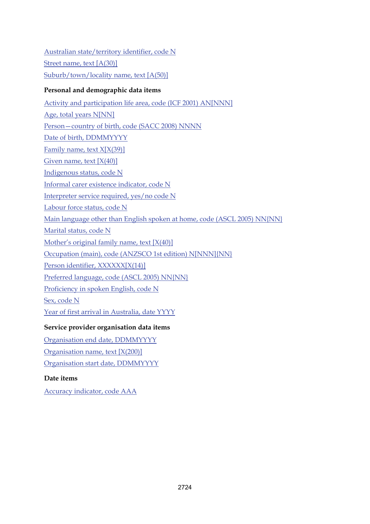[Australian state/territory identifier, code N](http://meteor.aihw.gov.au/content/index.phtml/itemId/286919) [Street name, text \[A\(30\)\]](http://meteor.aihw.gov.au/content/index.phtml/itemId/270019) [Suburb/town/locality name, text \[A\(50\)\]](http://meteor.aihw.gov.au/content/index.phtml/itemId/287326)

#### **Personal and demographic data items**

[Activity and participation life area, code \(ICF 2001\) AN\[NNN\]](http://meteor.aihw.gov.au/content/index.phtml/itemId/320125) [Age, total years N\[NN\]](http://meteor.aihw.gov.au/content/index.phtml/itemId/303794) [Person—country of birth, code \(SACC 2008\) NNNN](http://meteor.aihw.gov.au/content/index.phtml/itemId/370943) [Date of birth, DDMMYYYY](http://meteor.aihw.gov.au/content/index.phtml/itemId/287007) Family name, text  $X[X(39)]$ Given name, text  $[X(40)]$ [Indigenous status, code N](http://meteor.aihw.gov.au/content/index.phtml/itemId/291036) [Informal carer existence indicator, code N](http://meteor.aihw.gov.au/content/index.phtml/itemId/320939) [Interpreter service required, yes/no code N](http://meteor.aihw.gov.au/content/index.phtml/itemId/304294) [Labour force status, code N](http://meteor.aihw.gov.au/content/index.phtml/itemId/270112) [Main language other than English spoken at home, code \(ASCL 2005\) NN{NN}](http://meteor.aihw.gov.au/content/index.phtml/itemId/304133) [Marital status, code N](http://meteor.aihw.gov.au/content/index.phtml/itemId/291045) [Mother's original family name, text \[X\(40\)\]](http://meteor.aihw.gov.au/content/index.phtml/itemId/270262) [Occupation \(main\), code \(ANZSCO 1st edition\) N\[NNN\]{NN}](http://meteor.aihw.gov.au/content/index.phtml/itemId/350899) [Person identifier, XXXXXX\[X\(14\)\]](http://meteor.aihw.gov.au/content/index.phtml/itemId/290046) [Preferred language, code \(ASCL 2005\) NN{NN}](http://meteor.aihw.gov.au/content/index.phtml/itemId/304128) [Proficiency in spoken English, code N](http://meteor.aihw.gov.au/content/index.phtml/itemId/270203) [Sex, code N](http://meteor.aihw.gov.au/content/index.phtml/itemId/287316) [Year of first arrival in Australia, date YYYY](http://meteor.aihw.gov.au/content/index.phtml/itemId/269929)

#### **Service provider organisation data items**

[Organisation end date, DDMMYYYY](http://meteor.aihw.gov.au/content/index.phtml/itemId/288733)

[Organisation name, text \[X\(200\)\]](http://meteor.aihw.gov.au/content/index.phtml/itemId/288917)

[Organisation start date, DDMMYYYY](http://meteor.aihw.gov.au/content/index.phtml/itemId/288963)

### **Date items**

[Accuracy indicator, code AAA](http://meteor.aihw.gov.au/content/index.phtml/itemId/294429)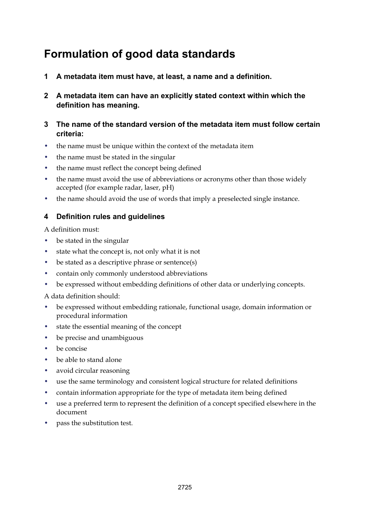## **Formulation of good data standards**

- **1 A metadata item must have, at least, a name and a definition.**
- **2 A metadata item can have an explicitly stated context within which the definition has meaning.**

#### **3 The name of the standard version of the metadata item must follow certain criteria:**

- the name must be unique within the context of the metadata item
- the name must be stated in the singular
- the name must reflect the concept being defined
- the name must avoid the use of abbreviations or acronyms other than those widely accepted (for example radar, laser, pH)
- the name should avoid the use of words that imply a preselected single instance.

#### **4 Definition rules and guidelines**

A definition must:

- be stated in the singular
- state what the concept is, not only what it is not
- be stated as a descriptive phrase or sentence(s)
- contain only commonly understood abbreviations
- be expressed without embedding definitions of other data or underlying concepts.

A data definition should:

- be expressed without embedding rationale, functional usage, domain information or procedural information
- state the essential meaning of the concept
- be precise and unambiguous
- be concise
- be able to stand alone
- avoid circular reasoning
- use the same terminology and consistent logical structure for related definitions
- contain information appropriate for the type of metadata item being defined
- use a preferred term to represent the definition of a concept specified elsewhere in the document
- pass the substitution test.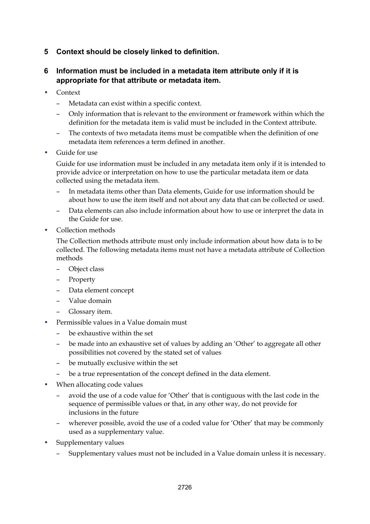#### **5 Context should be closely linked to definition.**

#### **6 Information must be included in a metadata item attribute only if it is appropriate for that attribute or metadata item.**

- Context
	- Metadata can exist within a specific context.
	- Only information that is relevant to the environment or framework within which the definition for the metadata item is valid must be included in the Context attribute.
	- The contexts of two metadata items must be compatible when the definition of one metadata item references a term defined in another.
- Guide for use

Guide for use information must be included in any metadata item only if it is intended to provide advice or interpretation on how to use the particular metadata item or data collected using the metadata item.

- In metadata items other than Data elements, Guide for use information should be about how to use the item itself and not about any data that can be collected or used.
- Data elements can also include information about how to use or interpret the data in the Guide for use.
- Collection methods

The Collection methods attribute must only include information about how data is to be collected. The following metadata items must not have a metadata attribute of Collection methods

- Object class
- Property
- Data element concept
- Value domain
- Glossary item.
- Permissible values in a Value domain must
	- be exhaustive within the set
	- be made into an exhaustive set of values by adding an 'Other' to aggregate all other possibilities not covered by the stated set of values
	- be mutually exclusive within the set
	- be a true representation of the concept defined in the data element.
- When allocating code values
	- avoid the use of a code value for 'Other' that is contiguous with the last code in the sequence of permissible values or that, in any other way, do not provide for inclusions in the future
	- wherever possible, avoid the use of a coded value for 'Other' that may be commonly used as a supplementary value.
- Supplementary values
	- Supplementary values must not be included in a Value domain unless it is necessary.